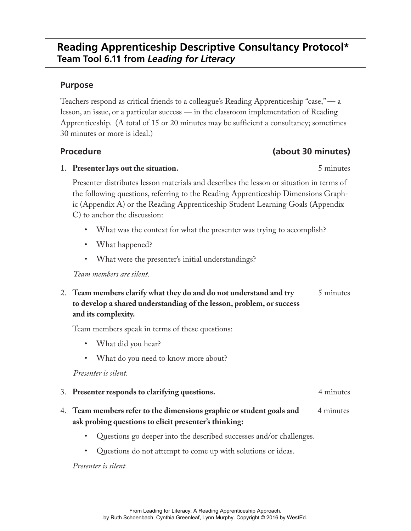## **Purpose**

Teachers respond as critical friends to a colleague's Reading Apprenticeship "case," — a lesson, an issue, or a particular success — in the classroom implementation of Reading Apprenticeship. (A total of 15 or 20 minutes may be sufficient a consultancy; sometimes 30 minutes or more is ideal.)

## **Procedure (about 30 minutes)**

1. **Presenter lays out the situation.** 5 minutes

Presenter distributes lesson materials and describes the lesson or situation in terms of the following questions, referring to the Reading Apprenticeship Dimensions Graphic (Appendix A) or the Reading Apprenticeship Student Learning Goals (Appendix C) to anchor the discussion:

- What was the context for what the presenter was trying to accomplish?
- What happened?
- What were the presenter's initial understandings?

*Team members are silent.*

2. **Team members clarify what they do and do not understand and try** 5 minutes **to develop a shared understanding of the lesson, problem, or success and its complexity.**

Team members speak in terms of these questions:

- What did you hear?
- What do you need to know more about?

*Presenter is silent.*

- 3. **Presenter responds to clarifying questions.** 4 minutes
- 4. **Team members refer to the dimensions graphic or student goals and** 4 minutes **ask probing questions to elicit presenter's thinking:**
	- Questions go deeper into the described successes and/or challenges.
	- Questions do not attempt to come up with solutions or ideas.

*Presenter is silent.*